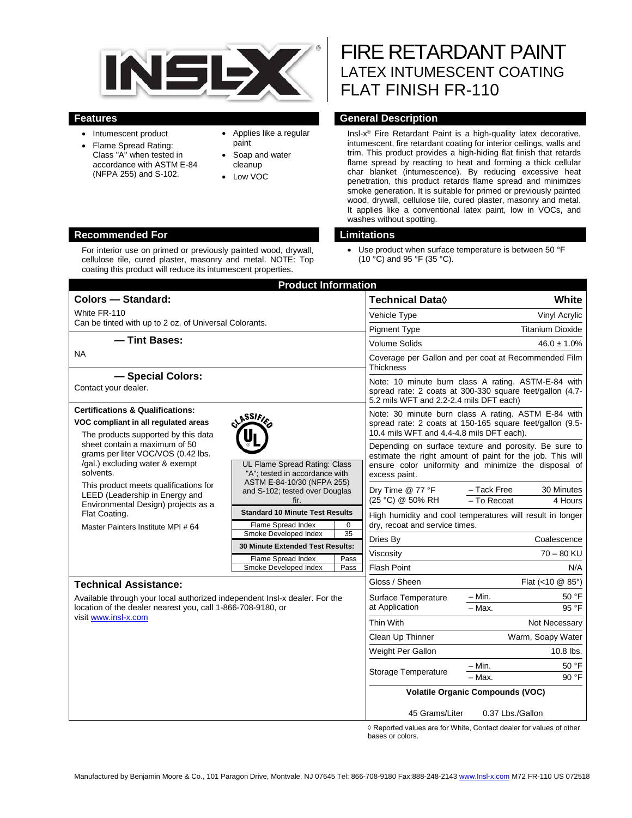

- Intumescent product
- Flame Spread Rating: Class "A" when tested in accordance with ASTM E-84 (NFPA 255) and S-102.
- Applies like a regular paint
- Soap and water cleanup
- Low VOC

# FIRE RETARDANT PAINT LATEX INTUMESCENT COATING FLAT FINISH FR-110

#### **Features General Description**

Insl-x® Fire Retardant Paint is a high-quality latex decorative, intumescent, fire retardant coating for interior ceilings, walls and trim. This product provides a high-hiding flat finish that retards flame spread by reacting to heat and forming a thick cellular char blanket (intumescence). By reducing excessive heat penetration, this product retards flame spread and minimizes smoke generation. It is suitable for primed or previously painted wood, drywall, cellulose tile, cured plaster, masonry and metal. It applies like a conventional latex paint, low in VOCs, and washes without spotting.

<sup>•</sup> Use product when surface temperature is between 50 °F (10 °C) and 95 °F (35 °C).

|                                                                                                                                                                                                                                                                                              | <b>Product Information</b>                                                                                                                                                                                             |                             |                                                                                                                                                                                             |                                                     |
|----------------------------------------------------------------------------------------------------------------------------------------------------------------------------------------------------------------------------------------------------------------------------------------------|------------------------------------------------------------------------------------------------------------------------------------------------------------------------------------------------------------------------|-----------------------------|---------------------------------------------------------------------------------------------------------------------------------------------------------------------------------------------|-----------------------------------------------------|
| <b>Colors - Standard:</b>                                                                                                                                                                                                                                                                    |                                                                                                                                                                                                                        | Technical Data <sup>(</sup> | White                                                                                                                                                                                       |                                                     |
| White FR-110                                                                                                                                                                                                                                                                                 |                                                                                                                                                                                                                        | Vehicle Type                | Vinyl Acrylic                                                                                                                                                                               |                                                     |
| Can be tinted with up to 2 oz. of Universal Colorants.                                                                                                                                                                                                                                       |                                                                                                                                                                                                                        | <b>Pigment Type</b>         | <b>Titanium Dioxide</b>                                                                                                                                                                     |                                                     |
| - Tint Bases:                                                                                                                                                                                                                                                                                |                                                                                                                                                                                                                        | <b>Volume Solids</b>        | $46.0 \pm 1.0\%$                                                                                                                                                                            |                                                     |
| <b>NA</b>                                                                                                                                                                                                                                                                                    |                                                                                                                                                                                                                        |                             | Coverage per Gallon and per coat at Recommended Film<br><b>Thickness</b>                                                                                                                    |                                                     |
| - Special Colors:<br>Contact your dealer.                                                                                                                                                                                                                                                    |                                                                                                                                                                                                                        |                             | Note: 10 minute burn class A rating. ASTM-E-84 with<br>spread rate: 2 coats at 300-330 square feet/gallon (4.7-<br>5.2 mils WFT and 2.2-2.4 mils DFT each)                                  |                                                     |
| <b>Certifications &amp; Qualifications:</b>                                                                                                                                                                                                                                                  |                                                                                                                                                                                                                        |                             |                                                                                                                                                                                             | Note: 30 minute burn class A rating. ASTM E-84 with |
| <b>LASSIFIE</b><br>VOC compliant in all regulated areas<br>The products supported by this data                                                                                                                                                                                               |                                                                                                                                                                                                                        |                             | spread rate: 2 coats at 150-165 square feet/gallon (9.5-<br>10.4 mils WFT and 4.4-4.8 mils DFT each).                                                                                       |                                                     |
| sheet contain a maximum of 50<br>grams per liter VOC/VOS (0.42 lbs.<br>/gal.) excluding water & exempt<br>solvents.<br>This product meets qualifications for<br>LEED (Leadership in Energy and<br>Environmental Design) projects as a<br>Flat Coating.<br>Master Painters Institute MPI # 64 | UL Flame Spread Rating: Class<br>"A": tested in accordance with<br>ASTM E-84-10/30 (NFPA 255)<br>and S-102; tested over Douglas<br>fir.<br><b>Standard 10 Minute Test Results</b><br>Flame Spread Index<br>$\mathbf 0$ |                             | Depending on surface texture and porosity. Be sure to<br>estimate the right amount of paint for the job. This will<br>ensure color uniformity and minimize the disposal of<br>excess paint. |                                                     |
|                                                                                                                                                                                                                                                                                              |                                                                                                                                                                                                                        |                             | Dry Time @ 77 °F<br>(25 °C) @ 50% RH                                                                                                                                                        | - Tack Free<br>30 Minutes<br>- To Recoat<br>4 Hours |
|                                                                                                                                                                                                                                                                                              |                                                                                                                                                                                                                        |                             | High humidity and cool temperatures will result in longer<br>dry, recoat and service times.                                                                                                 |                                                     |
|                                                                                                                                                                                                                                                                                              | Smoke Developed Index<br>35<br><b>30 Minute Extended Test Results:</b><br>Pass                                                                                                                                         | Dries By                    | Coalescence                                                                                                                                                                                 |                                                     |
|                                                                                                                                                                                                                                                                                              |                                                                                                                                                                                                                        | Viscosity                   | $70 - 80$ KU                                                                                                                                                                                |                                                     |
|                                                                                                                                                                                                                                                                                              | Flame Spread Index<br>Smoke Developed Index                                                                                                                                                                            | Pass                        | <b>Flash Point</b>                                                                                                                                                                          | N/A                                                 |
| <b>Technical Assistance:</b>                                                                                                                                                                                                                                                                 |                                                                                                                                                                                                                        |                             | Gloss / Sheen                                                                                                                                                                               | Flat (<10 @ 85°)                                    |
| Available through your local authorized independent Insl-x dealer. For the<br>location of the dealer nearest you, call 1-866-708-9180, or<br>visit www.insl-x.com                                                                                                                            |                                                                                                                                                                                                                        |                             | Surface Temperature<br>at Application                                                                                                                                                       | – Min.<br>50 °F                                     |
|                                                                                                                                                                                                                                                                                              |                                                                                                                                                                                                                        |                             |                                                                                                                                                                                             | $-$ Max.<br>95 °F                                   |
|                                                                                                                                                                                                                                                                                              |                                                                                                                                                                                                                        |                             | Thin With                                                                                                                                                                                   | Not Necessary                                       |
|                                                                                                                                                                                                                                                                                              |                                                                                                                                                                                                                        |                             | Clean Up Thinner                                                                                                                                                                            | Warm, Soapy Water                                   |
|                                                                                                                                                                                                                                                                                              |                                                                                                                                                                                                                        |                             | Weight Per Gallon                                                                                                                                                                           | 10.8 lbs.                                           |
|                                                                                                                                                                                                                                                                                              |                                                                                                                                                                                                                        |                             | Storage Temperature                                                                                                                                                                         | 50 °F<br>– Min.<br>$-$ Max.<br>90 °F                |
|                                                                                                                                                                                                                                                                                              |                                                                                                                                                                                                                        |                             | <b>Volatile Organic Compounds (VOC)</b><br>45 Grams/Liter<br>0.37 Lbs./Gallon                                                                                                               |                                                     |
|                                                                                                                                                                                                                                                                                              |                                                                                                                                                                                                                        |                             |                                                                                                                                                                                             |                                                     |

s are for White, Contact dealer for values of othe bases or colors.

#### **Recommended For Limitations**

For interior use on primed or previously painted wood, drywall, cellulose tile, cured plaster, masonry and metal. NOTE: Top coating this product will reduce its intumescent properties.